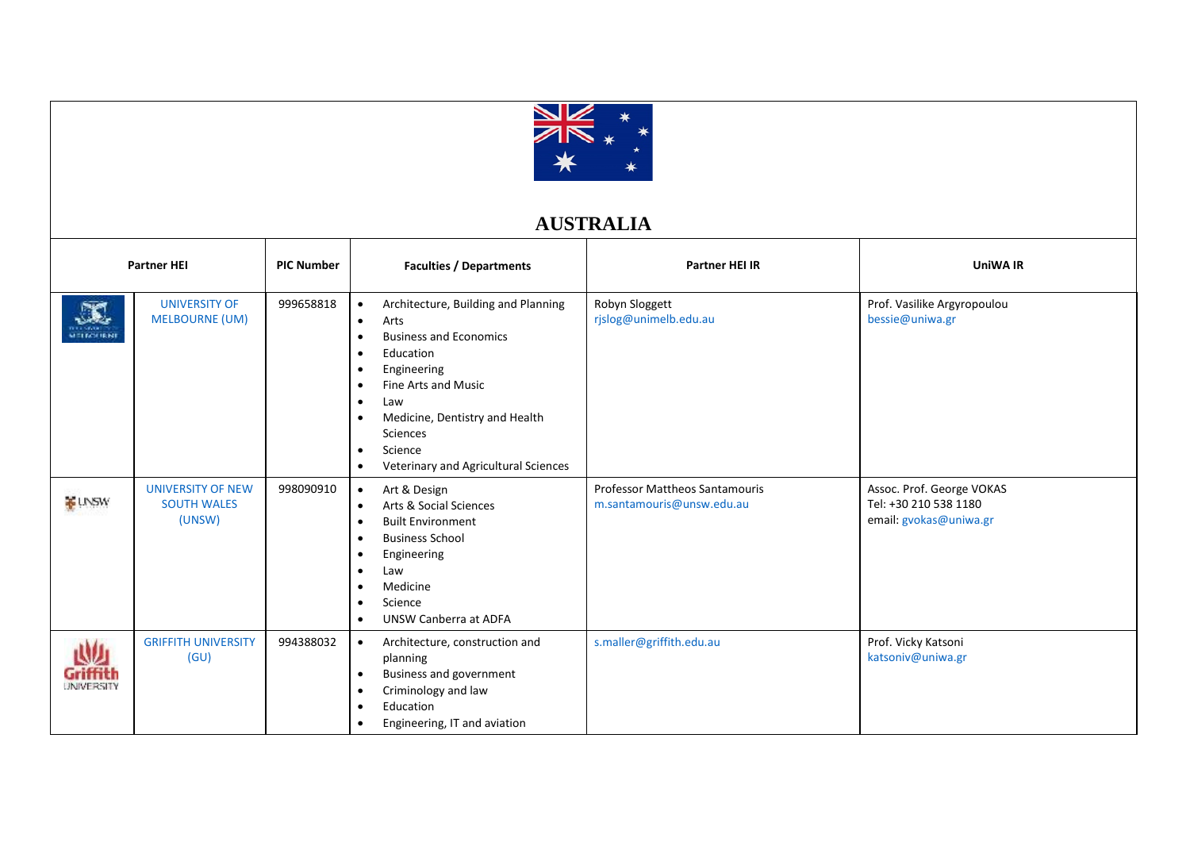

## **AUSTRALIA**

| <b>Partner HEI</b>     |                                                          | <b>PIC Number</b> | <b>Faculties / Departments</b>                                                                                                                                                                                                                                                                                                                                                   | Partner HEI IR                                                     | <b>UniWA IR</b>                                                              |
|------------------------|----------------------------------------------------------|-------------------|----------------------------------------------------------------------------------------------------------------------------------------------------------------------------------------------------------------------------------------------------------------------------------------------------------------------------------------------------------------------------------|--------------------------------------------------------------------|------------------------------------------------------------------------------|
| <b>MELECURNE</b>       | <b>UNIVERSITY OF</b><br><b>MELBOURNE (UM)</b>            | 999658818         | Architecture, Building and Planning<br>$\bullet$<br>Arts<br>$\bullet$<br><b>Business and Economics</b><br>$\bullet$<br>Education<br>$\bullet$<br>Engineering<br>$\bullet$<br>Fine Arts and Music<br>$\bullet$<br>Law<br>$\bullet$<br>Medicine, Dentistry and Health<br>$\bullet$<br><b>Sciences</b><br>Science<br>$\bullet$<br>Veterinary and Agricultural Sciences<br>$\bullet$ | Robyn Sloggett<br>rjslog@unimelb.edu.au                            | Prof. Vasilike Argyropoulou<br>bessie@uniwa.gr                               |
| <b>ELINSW</b>          | <b>UNIVERSITY OF NEW</b><br><b>SOUTH WALES</b><br>(UNSW) | 998090910         | Art & Design<br>$\bullet$<br><b>Arts &amp; Social Sciences</b><br>$\bullet$<br><b>Built Environment</b><br>$\bullet$<br><b>Business School</b><br>٠<br>Engineering<br>٠<br>Law<br>٠<br>Medicine<br>٠<br>Science<br>$\bullet$<br><b>UNSW Canberra at ADFA</b><br>$\bullet$                                                                                                        | <b>Professor Mattheos Santamouris</b><br>m.santamouris@unsw.edu.au | Assoc. Prof. George VOKAS<br>Tel: +30 210 538 1180<br>email: gvokas@uniwa.gr |
| Griffith<br>UNIVERSITY | <b>GRIFFITH UNIVERSITY</b><br>(GU)                       | 994388032         | Architecture, construction and<br>$\bullet$<br>planning<br><b>Business and government</b><br>$\bullet$<br>Criminology and law<br>٠<br>Education<br>$\bullet$<br>Engineering, IT and aviation<br>٠                                                                                                                                                                                | s.maller@griffith.edu.au                                           | Prof. Vicky Katsoni<br>katsoniv@uniwa.gr                                     |